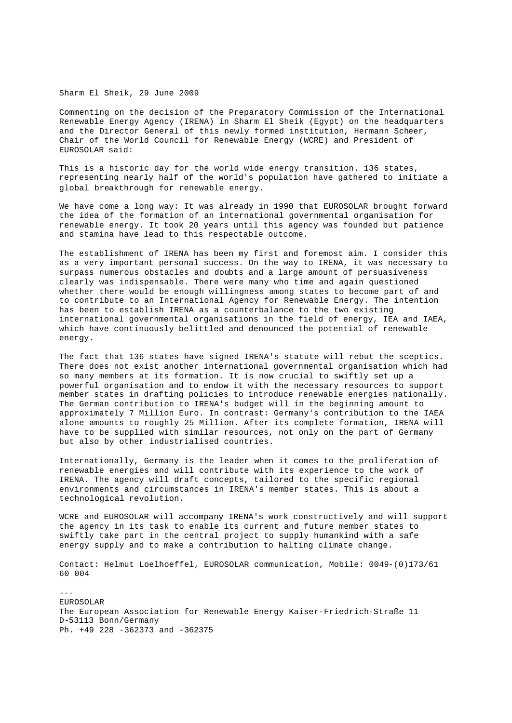## Sharm El Sheik, 29 June 2009

Commenting on the decision of the Preparatory Commission of the International Renewable Energy Agency (IRENA) in Sharm El Sheik (Egypt) on the headquarters and the Director General of this newly formed institution, Hermann Scheer, Chair of the World Council for Renewable Energy (WCRE) and President of EUROSOLAR said:

This is a historic day for the world wide energy transition. 136 states, representing nearly half of the world's population have gathered to initiate a global breakthrough for renewable energy.

We have come a long way: It was already in 1990 that EUROSOLAR brought forward the idea of the formation of an international governmental organisation for renewable energy. It took 20 years until this agency was founded but patience and stamina have lead to this respectable outcome.

The establishment of IRENA has been my first and foremost aim. I consider this as a very important personal success. On the way to IRENA, it was necessary to surpass numerous obstacles and doubts and a large amount of persuasiveness clearly was indispensable. There were many who time and again questioned whether there would be enough willingness among states to become part of and to contribute to an International Agency for Renewable Energy. The intention has been to establish IRENA as a counterbalance to the two existing international governmental organisations in the field of energy, IEA and IAEA, which have continuously belittled and denounced the potential of renewable energy.

The fact that 136 states have signed IRENA's statute will rebut the sceptics. There does not exist another international governmental organisation which had so many members at its formation. It is now crucial to swiftly set up a powerful organisation and to endow it with the necessary resources to support member states in drafting policies to introduce renewable energies nationally. The German contribution to IRENA's budget will in the beginning amount to approximately 7 Million Euro. In contrast: Germany's contribution to the IAEA alone amounts to roughly 25 Million. After its complete formation, IRENA will have to be supplied with similar resources, not only on the part of Germany but also by other industrialised countries.

Internationally, Germany is the leader when it comes to the proliferation of renewable energies and will contribute with its experience to the work of IRENA. The agency will draft concepts, tailored to the specific regional environments and circumstances in IRENA's member states. This is about a technological revolution.

WCRE and EUROSOLAR will accompany IRENA's work constructively and will support the agency in its task to enable its current and future member states to swiftly take part in the central project to supply humankind with a safe energy supply and to make a contribution to halting climate change.

Contact: Helmut Loelhoeffel, EUROSOLAR communication, Mobile: 0049-(0)173/61 60 004

--- EUROSOLAR The European Association for Renewable Energy Kaiser-Friedrich-Straße 11 D-53113 Bonn/Germany Ph. +49 228 -362373 and -362375